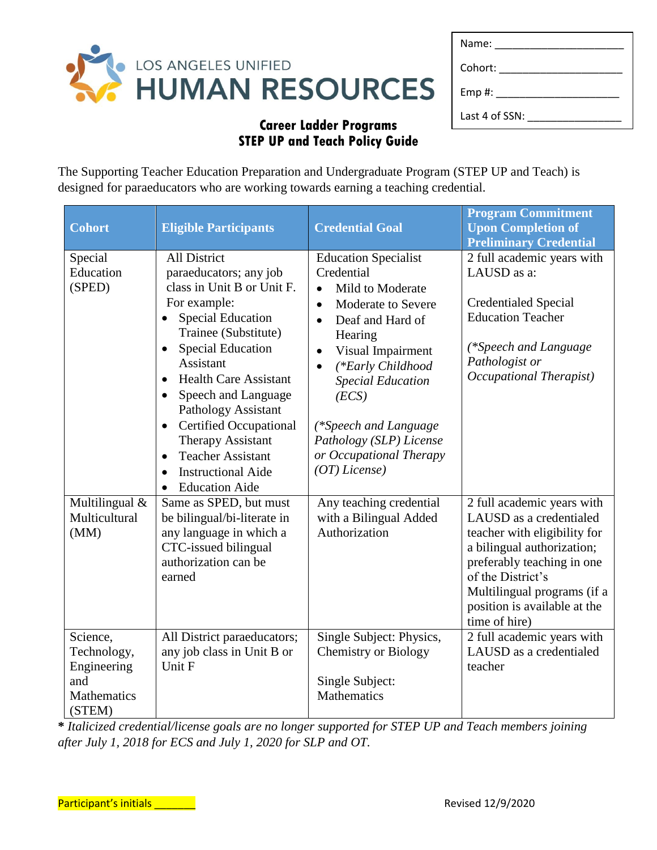

| Name:          |
|----------------|
| Cohort:        |
| Emp#: $\_$     |
| Last 4 of SSN: |

The Supporting Teacher Education Preparation and Undergraduate Program (STEP UP and Teach) is designed for paraeducators who are working towards earning a teaching credential.

| Cohort                                                                        | <b>Eligible Participants</b>                                                                                                                                                                                                                                                                                                                                                                                                                                                                  | <b>Credential Goal</b>                                                                                                                                                                                                                                                                                                                                  | <b>Program Commitment</b><br><b>Upon Completion of</b><br><b>Preliminary Credential</b>                                                                                                                                                                |
|-------------------------------------------------------------------------------|-----------------------------------------------------------------------------------------------------------------------------------------------------------------------------------------------------------------------------------------------------------------------------------------------------------------------------------------------------------------------------------------------------------------------------------------------------------------------------------------------|---------------------------------------------------------------------------------------------------------------------------------------------------------------------------------------------------------------------------------------------------------------------------------------------------------------------------------------------------------|--------------------------------------------------------------------------------------------------------------------------------------------------------------------------------------------------------------------------------------------------------|
| Special<br>Education<br>(SPED)                                                | <b>All District</b><br>paraeducators; any job<br>class in Unit B or Unit F.<br>For example:<br><b>Special Education</b><br>Trainee (Substitute)<br><b>Special Education</b><br>$\bullet$<br><b>Assistant</b><br><b>Health Care Assistant</b><br>$\bullet$<br>Speech and Language<br>$\bullet$<br>Pathology Assistant<br><b>Certified Occupational</b><br><b>Therapy Assistant</b><br><b>Teacher Assistant</b><br>$\bullet$<br><b>Instructional Aide</b><br>$\bullet$<br><b>Education Aide</b> | <b>Education Specialist</b><br>Credential<br>Mild to Moderate<br>Moderate to Severe<br>$\bullet$<br>Deaf and Hard of<br>$\bullet$<br>Hearing<br>Visual Impairment<br>$\bullet$<br>(*Early Childhood<br>$\bullet$<br><b>Special Education</b><br>(ECS)<br>(*Speech and Language<br>Pathology (SLP) License<br>or Occupational Therapy<br>$(OT)$ License) | 2 full academic years with<br>LAUSD as a:<br><b>Credentialed Special</b><br><b>Education Teacher</b><br>(*Speech and Language<br>Pathologist or<br>Occupational Therapist)                                                                             |
| Multilingual &<br>Multicultural<br>(MM)                                       | Same as SPED, but must<br>be bilingual/bi-literate in<br>any language in which a<br>CTC-issued bilingual<br>authorization can be<br>earned                                                                                                                                                                                                                                                                                                                                                    | Any teaching credential<br>with a Bilingual Added<br>Authorization                                                                                                                                                                                                                                                                                      | 2 full academic years with<br>LAUSD as a credentialed<br>teacher with eligibility for<br>a bilingual authorization;<br>preferably teaching in one<br>of the District's<br>Multilingual programs (if a<br>position is available at the<br>time of hire) |
| Science,<br>Technology,<br>Engineering<br>and<br><b>Mathematics</b><br>(STEM) | All District paraeducators;<br>any job class in Unit B or<br>Unit F                                                                                                                                                                                                                                                                                                                                                                                                                           | Single Subject: Physics,<br><b>Chemistry or Biology</b><br>Single Subject:<br><b>Mathematics</b>                                                                                                                                                                                                                                                        | 2 full academic years with<br>LAUSD as a credentialed<br>teacher                                                                                                                                                                                       |

**\*** *Italicized credential/license goals are no longer supported for STEP UP and Teach members joining after July 1, 2018 for ECS and July 1, 2020 for SLP and OT.*

Participant's initials \_\_\_\_\_\_\_ Revised 12/9/2020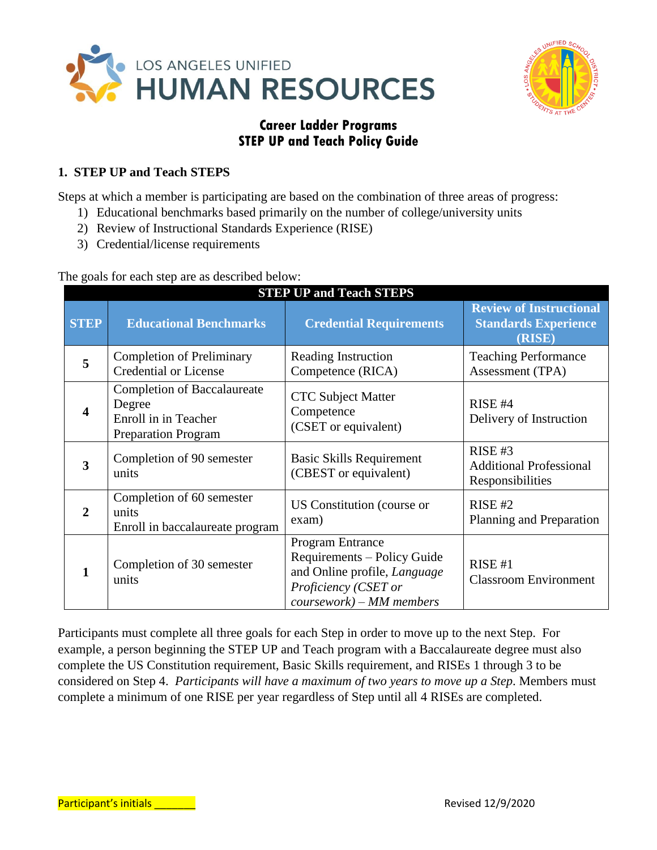



### **1. STEP UP and Teach STEPS**

Steps at which a member is participating are based on the combination of three areas of progress:

- 1) Educational benchmarks based primarily on the number of college/university units
- 2) Review of Instructional Standards Experience (RISE)
- 3) Credential/license requirements

The goals for each step are as described below:

| <b>STEP UP and Teach STEPS</b> |                                                                                                    |                                                                                                                                        |                                                                         |  |
|--------------------------------|----------------------------------------------------------------------------------------------------|----------------------------------------------------------------------------------------------------------------------------------------|-------------------------------------------------------------------------|--|
| <b>STEP</b>                    | <b>Educational Benchmarks</b>                                                                      | <b>Credential Requirements</b>                                                                                                         | <b>Review of Instructional</b><br><b>Standards Experience</b><br>(RISE) |  |
| 5                              | <b>Completion of Preliminary</b><br><b>Credential or License</b>                                   | Reading Instruction<br>Competence (RICA)                                                                                               | <b>Teaching Performance</b><br>Assessment (TPA)                         |  |
| $\overline{\mathbf{4}}$        | <b>Completion of Baccalaureate</b><br>Degree<br>Enroll in in Teacher<br><b>Preparation Program</b> | <b>CTC Subject Matter</b><br>Competence<br>(CSET or equivalent)                                                                        | $RISE$ #4<br>Delivery of Instruction                                    |  |
| 3                              | Completion of 90 semester<br>units                                                                 | Basic Skills Requirement<br>(CBEST or equivalent)                                                                                      | $RISE$ #3<br><b>Additional Professional</b><br>Responsibilities         |  |
| $\overline{2}$                 | Completion of 60 semester<br>units<br>Enroll in baccalaureate program                              | US Constitution (course or<br>exam)                                                                                                    | RISE #2<br>Planning and Preparation                                     |  |
| 1                              | Completion of 30 semester<br>units                                                                 | Program Entrance<br>Requirements - Policy Guide<br>and Online profile, Language<br>Proficiency (CSET or<br>$coursework$ ) – MM members | RISE #1<br><b>Classroom Environment</b>                                 |  |

Participants must complete all three goals for each Step in order to move up to the next Step. For example, a person beginning the STEP UP and Teach program with a Baccalaureate degree must also complete the US Constitution requirement, Basic Skills requirement, and RISEs 1 through 3 to be considered on Step 4. *Participants will have a maximum of two years to move up a Step*. Members must complete a minimum of one RISE per year regardless of Step until all 4 RISEs are completed.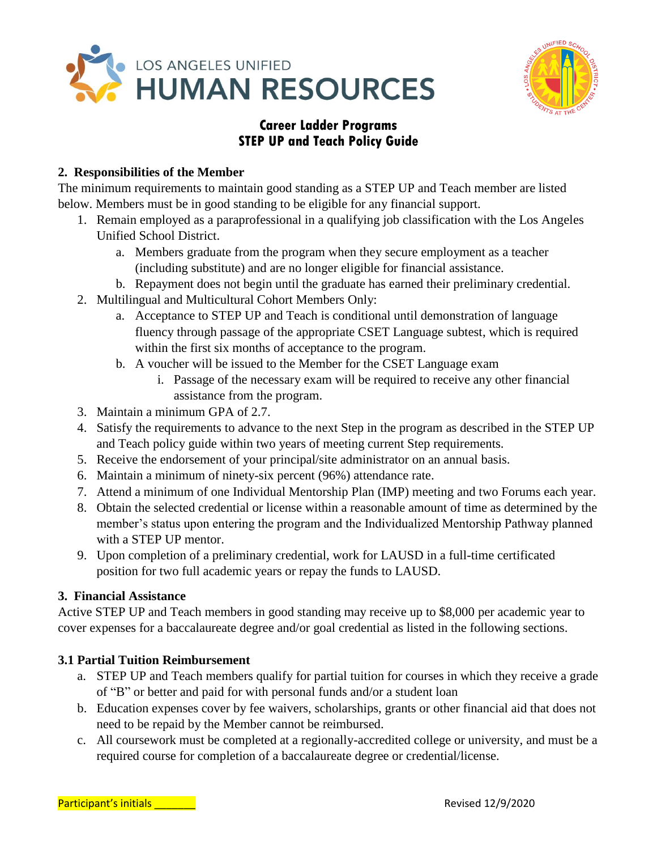



#### **2. Responsibilities of the Member**

The minimum requirements to maintain good standing as a STEP UP and Teach member are listed below. Members must be in good standing to be eligible for any financial support.

- 1. Remain employed as a paraprofessional in a qualifying job classification with the Los Angeles Unified School District.
	- a. Members graduate from the program when they secure employment as a teacher (including substitute) and are no longer eligible for financial assistance.
	- b. Repayment does not begin until the graduate has earned their preliminary credential.
- 2. Multilingual and Multicultural Cohort Members Only:
	- a. Acceptance to STEP UP and Teach is conditional until demonstration of language fluency through passage of the appropriate CSET Language subtest, which is required within the first six months of acceptance to the program.
	- b. A voucher will be issued to the Member for the CSET Language exam
		- i. Passage of the necessary exam will be required to receive any other financial assistance from the program.
- 3. Maintain a minimum GPA of 2.7.
- 4. Satisfy the requirements to advance to the next Step in the program as described in the STEP UP and Teach policy guide within two years of meeting current Step requirements.
- 5. Receive the endorsement of your principal/site administrator on an annual basis.
- 6. Maintain a minimum of ninety-six percent (96%) attendance rate.
- 7. Attend a minimum of one Individual Mentorship Plan (IMP) meeting and two Forums each year.
- 8. Obtain the selected credential or license within a reasonable amount of time as determined by the member's status upon entering the program and the Individualized Mentorship Pathway planned with a STEP UP mentor.
- 9. Upon completion of a preliminary credential, work for LAUSD in a full-time certificated position for two full academic years or repay the funds to LAUSD.

#### **3. Financial Assistance**

Active STEP UP and Teach members in good standing may receive up to \$8,000 per academic year to cover expenses for a baccalaureate degree and/or goal credential as listed in the following sections.

### **3.1 Partial Tuition Reimbursement**

- a. STEP UP and Teach members qualify for partial tuition for courses in which they receive a grade of "B" or better and paid for with personal funds and/or a student loan
- b. Education expenses cover by fee waivers, scholarships, grants or other financial aid that does not need to be repaid by the Member cannot be reimbursed.
- c. All coursework must be completed at a regionally-accredited college or university, and must be a required course for completion of a baccalaureate degree or credential/license.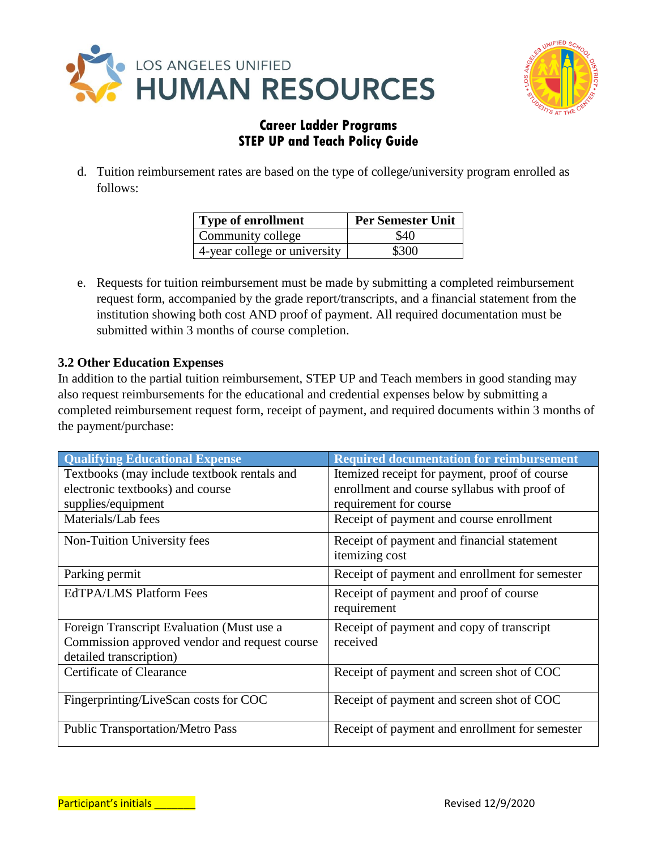



d. Tuition reimbursement rates are based on the type of college/university program enrolled as follows:

| Type of enrollment           | <b>Per Semester Unit</b> |
|------------------------------|--------------------------|
| Community college            | \$40                     |
| 4-year college or university | \$300                    |

e. Requests for tuition reimbursement must be made by submitting a completed reimbursement request form, accompanied by the grade report/transcripts, and a financial statement from the institution showing both cost AND proof of payment. All required documentation must be submitted within 3 months of course completion.

#### **3.2 Other Education Expenses**

In addition to the partial tuition reimbursement, STEP UP and Teach members in good standing may also request reimbursements for the educational and credential expenses below by submitting a completed reimbursement request form, receipt of payment, and required documents within 3 months of the payment/purchase:

| <b>Qualifying Educational Expense</b>         | <b>Required documentation for reimbursement</b> |
|-----------------------------------------------|-------------------------------------------------|
| Textbooks (may include textbook rentals and   | Itemized receipt for payment, proof of course   |
| electronic textbooks) and course              | enrollment and course syllabus with proof of    |
| supplies/equipment                            | requirement for course                          |
| Materials/Lab fees                            | Receipt of payment and course enrollment        |
| Non-Tuition University fees                   | Receipt of payment and financial statement      |
|                                               | itemizing cost                                  |
| Parking permit                                | Receipt of payment and enrollment for semester  |
| <b>EdTPA/LMS Platform Fees</b>                | Receipt of payment and proof of course          |
|                                               | requirement                                     |
| Foreign Transcript Evaluation (Must use a     | Receipt of payment and copy of transcript       |
| Commission approved vendor and request course | received                                        |
| detailed transcription)                       |                                                 |
| Certificate of Clearance                      | Receipt of payment and screen shot of COC       |
| Fingerprinting/LiveScan costs for COC         | Receipt of payment and screen shot of COC       |
|                                               |                                                 |
| <b>Public Transportation/Metro Pass</b>       | Receipt of payment and enrollment for semester  |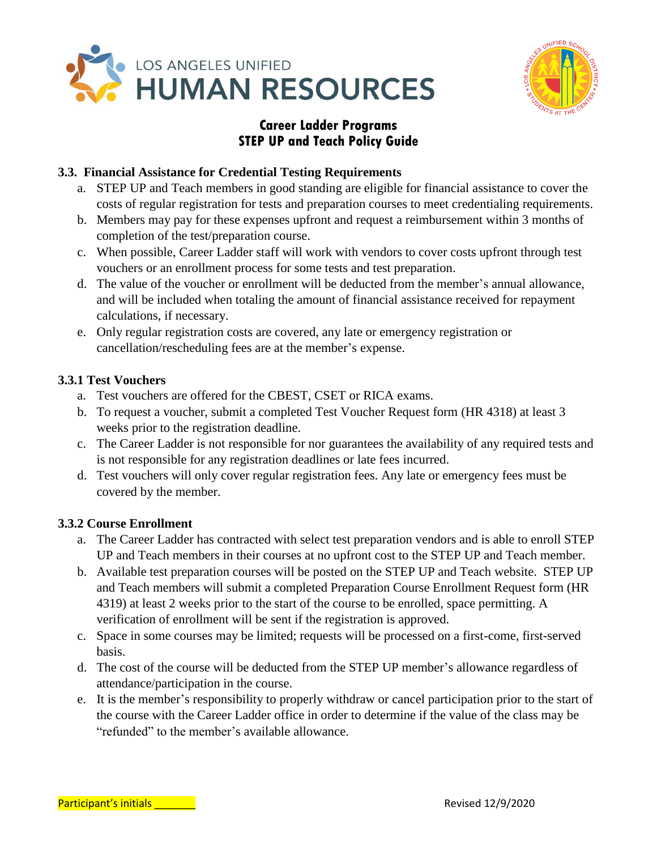



#### **3.3. Financial Assistance for Credential Testing Requirements**

- a. STEP UP and Teach members in good standing are eligible for financial assistance to cover the costs of regular registration for tests and preparation courses to meet credentialing requirements.
- b. Members may pay for these expenses upfront and request a reimbursement within 3 months of completion of the test/preparation course.
- c. When possible, Career Ladder staff will work with vendors to cover costs upfront through test vouchers or an enrollment process for some tests and test preparation.
- d. The value of the voucher or enrollment will be deducted from the member's annual allowance, and will be included when totaling the amount of financial assistance received for repayment calculations, if necessary.
- e. Only regular registration costs are covered, any late or emergency registration or cancellation/rescheduling fees are at the member's expense.

#### **3.3.1 Test Vouchers**

- a. Test vouchers are offered for the CBEST, CSET or RICA exams.
- b. To request a voucher, submit a completed Test Voucher Request form (HR 4318) at least 3 weeks prior to the registration deadline.
- c. The Career Ladder is not responsible for nor guarantees the availability of any required tests and is not responsible for any registration deadlines or late fees incurred.
- d. Test vouchers will only cover regular registration fees. Any late or emergency fees must be covered by the member.

### **3.3.2 Course Enrollment**

- a. The Career Ladder has contracted with select test preparation vendors and is able to enroll STEP UP and Teach members in their courses at no upfront cost to the STEP UP and Teach member.
- b. Available test preparation courses will be posted on the STEP UP and Teach website. STEP UP and Teach members will submit a completed Preparation Course Enrollment Request form (HR 4319) at least 2 weeks prior to the start of the course to be enrolled, space permitting. A verification of enrollment will be sent if the registration is approved.
- c. Space in some courses may be limited; requests will be processed on a first-come, first-served basis.
- d. The cost of the course will be deducted from the STEP UP member's allowance regardless of attendance/participation in the course.
- e. It is the member's responsibility to properly withdraw or cancel participation prior to the start of the course with the Career Ladder office in order to determine if the value of the class may be "refunded" to the member's available allowance.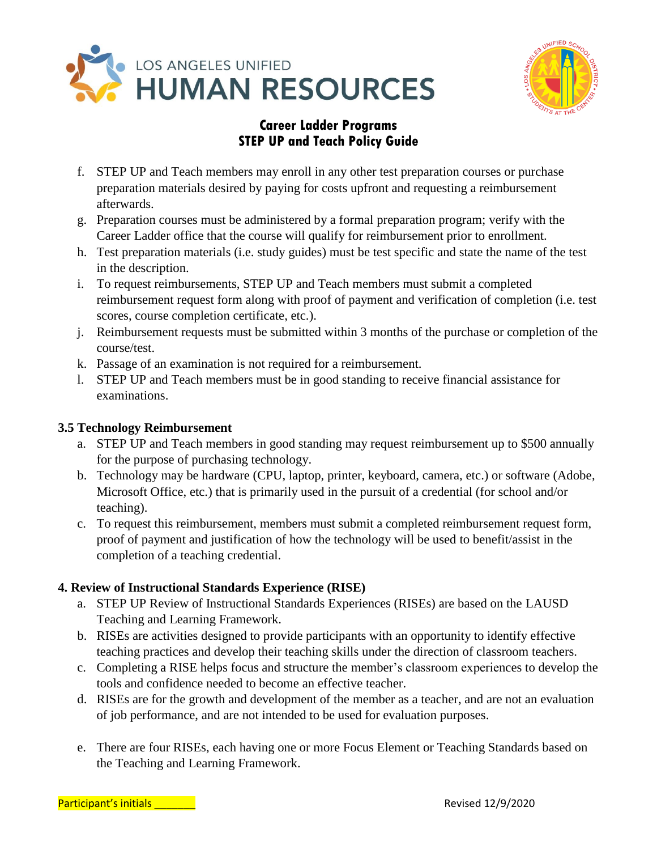



- f. STEP UP and Teach members may enroll in any other test preparation courses or purchase preparation materials desired by paying for costs upfront and requesting a reimbursement afterwards.
- g. Preparation courses must be administered by a formal preparation program; verify with the Career Ladder office that the course will qualify for reimbursement prior to enrollment.
- h. Test preparation materials (i.e. study guides) must be test specific and state the name of the test in the description.
- i. To request reimbursements, STEP UP and Teach members must submit a completed reimbursement request form along with proof of payment and verification of completion (i.e. test scores, course completion certificate, etc.).
- j. Reimbursement requests must be submitted within 3 months of the purchase or completion of the course/test.
- k. Passage of an examination is not required for a reimbursement.
- l. STEP UP and Teach members must be in good standing to receive financial assistance for examinations.

#### **3.5 Technology Reimbursement**

- a. STEP UP and Teach members in good standing may request reimbursement up to \$500 annually for the purpose of purchasing technology.
- b. Technology may be hardware (CPU, laptop, printer, keyboard, camera, etc.) or software (Adobe, Microsoft Office, etc.) that is primarily used in the pursuit of a credential (for school and/or teaching).
- c. To request this reimbursement, members must submit a completed reimbursement request form, proof of payment and justification of how the technology will be used to benefit/assist in the completion of a teaching credential.

### **4. Review of Instructional Standards Experience (RISE)**

- a. STEP UP Review of Instructional Standards Experiences (RISEs) are based on the LAUSD Teaching and Learning Framework.
- b. RISEs are activities designed to provide participants with an opportunity to identify effective teaching practices and develop their teaching skills under the direction of classroom teachers.
- c. Completing a RISE helps focus and structure the member's classroom experiences to develop the tools and confidence needed to become an effective teacher.
- d. RISEs are for the growth and development of the member as a teacher, and are not an evaluation of job performance, and are not intended to be used for evaluation purposes.
- e. There are four RISEs, each having one or more Focus Element or Teaching Standards based on the Teaching and Learning Framework.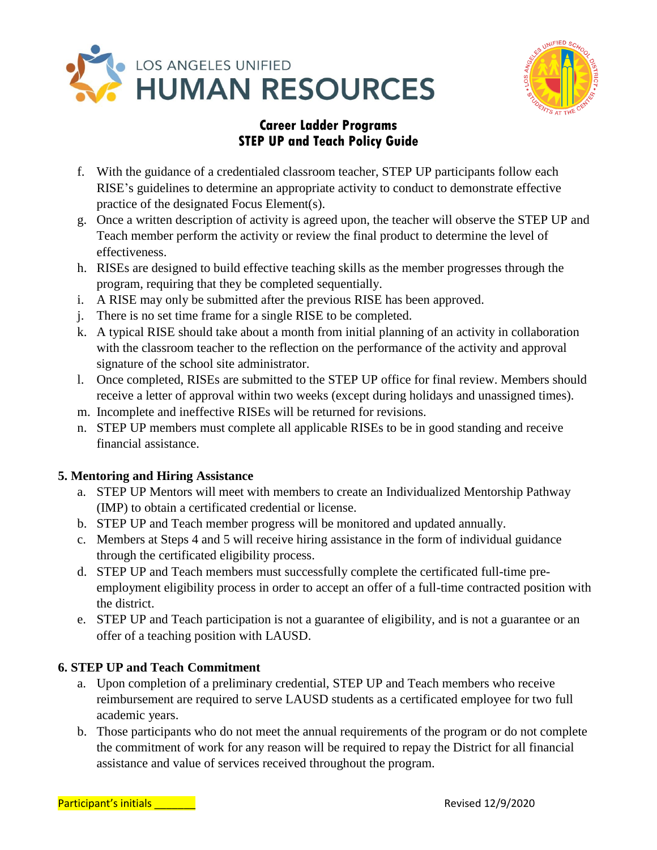



- f. With the guidance of a credentialed classroom teacher, STEP UP participants follow each RISE's guidelines to determine an appropriate activity to conduct to demonstrate effective practice of the designated Focus Element(s).
- g. Once a written description of activity is agreed upon, the teacher will observe the STEP UP and Teach member perform the activity or review the final product to determine the level of effectiveness.
- h. RISEs are designed to build effective teaching skills as the member progresses through the program, requiring that they be completed sequentially.
- i. A RISE may only be submitted after the previous RISE has been approved.
- j. There is no set time frame for a single RISE to be completed.
- k. A typical RISE should take about a month from initial planning of an activity in collaboration with the classroom teacher to the reflection on the performance of the activity and approval signature of the school site administrator.
- l. Once completed, RISEs are submitted to the STEP UP office for final review. Members should receive a letter of approval within two weeks (except during holidays and unassigned times).
- m. Incomplete and ineffective RISEs will be returned for revisions.
- n. STEP UP members must complete all applicable RISEs to be in good standing and receive financial assistance.

### **5. Mentoring and Hiring Assistance**

- a. STEP UP Mentors will meet with members to create an Individualized Mentorship Pathway (IMP) to obtain a certificated credential or license.
- b. STEP UP and Teach member progress will be monitored and updated annually.
- c. Members at Steps 4 and 5 will receive hiring assistance in the form of individual guidance through the certificated eligibility process.
- d. STEP UP and Teach members must successfully complete the certificated full-time preemployment eligibility process in order to accept an offer of a full-time contracted position with the district.
- e. STEP UP and Teach participation is not a guarantee of eligibility, and is not a guarantee or an offer of a teaching position with LAUSD.

### **6. STEP UP and Teach Commitment**

- a. Upon completion of a preliminary credential, STEP UP and Teach members who receive reimbursement are required to serve LAUSD students as a certificated employee for two full academic years.
- b. Those participants who do not meet the annual requirements of the program or do not complete the commitment of work for any reason will be required to repay the District for all financial assistance and value of services received throughout the program.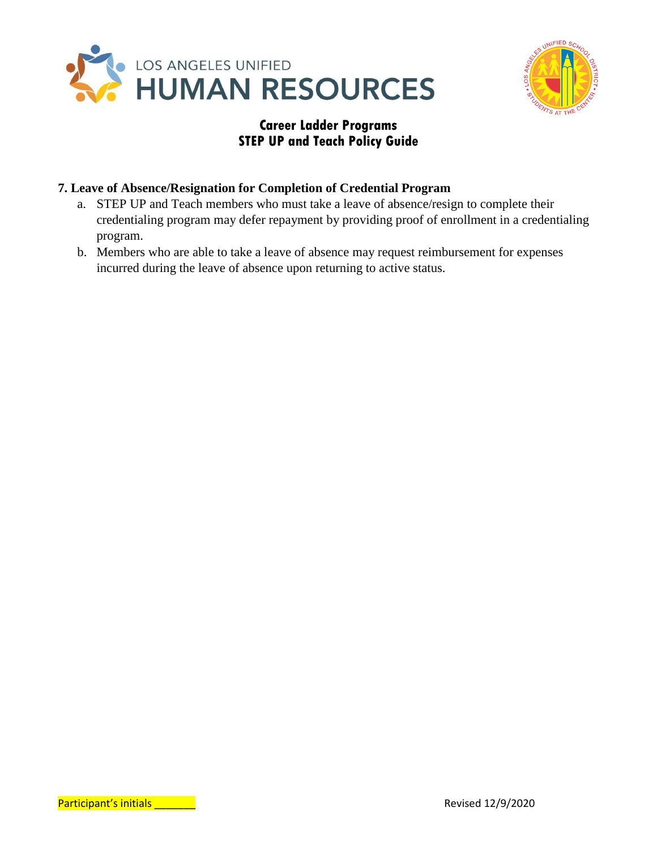



#### **7. Leave of Absence/Resignation for Completion of Credential Program**

- a. STEP UP and Teach members who must take a leave of absence/resign to complete their credentialing program may defer repayment by providing proof of enrollment in a credentialing program.
- b. Members who are able to take a leave of absence may request reimbursement for expenses incurred during the leave of absence upon returning to active status.